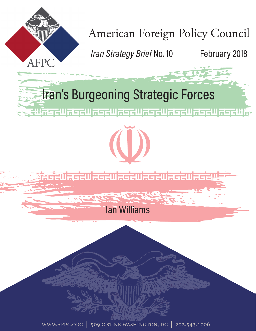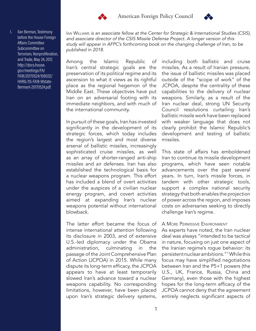



Ilan Berman, Testimony before the House Foreign Affairs Committee Subcommittee on Terrorism, Nonproliferation, and Trade, May 24, 2017, http://docs.house. gov/meetings/FA/ FA18/20170524/106032/ HHRG-115-FA18-Wstate-BermanI-20170524.pdf.

Ian Williams *is an associate fellow at the Center for Strategic & International Studies (CSIS), and associate director of the CSIS Missile Defense Project. A longer version of this study will appear in AFPC's forthcoming book on the changing challenge of Iran, to be published in 2018.* 

Among the Islamic Republic of Iran's central strategic goals are the preservation of its political regime and its ascension to what it views as its rightful place as the regional hegemon of the Middle East. These objectives have put Iran on an adversarial footing with its immediate neighbors, and with much of the international community.

In pursuit of these goals, Iran has invested significantly in the development of its strategic forces, which today includes the region's largest and most diverse arsenal of ballistic missiles, increasingly sophisticated cruise missiles, as well as an array of shorter-ranged anti-ship missiles and air defenses. Iran has also established the technological basis for a nuclear weapons program. This effort has included a blend of overt activities under the auspices of a civilian nuclear energy program, and covert activities aimed at expanding Iran's nuclear weapons potential without international blowback.

The latter effort became the focus of intense international attention following its disclosure in 2003, and of extensive U.S.-led diplomacy under the Obama administration, culminating in the passage of the Joint Comprehensive Plan of Action (JCPOA) in 2015. While many dispute its long-term efficacy, the JCPOA appears to have at least temporarily slowed Iran's advance toward a nuclear weapons capability. No corresponding limitations, however, have been placed upon Iran's strategic delivery systems, including both ballistic and cruise missiles. As a result of Iranian pressure, the issue of ballistic missiles was placed outside of the "scope of work" of the JCPOA, despite the centrality of these capabilities to the delivery of nuclear weapons. Similarly, as a result of the Iran nuclear deal, strong UN Security Council resolutions curtailing Iran's ballistic missile work have been replaced with weaker language that does not clearly prohibit the Islamic Republic's development and testing of ballistic missiles.

This state of affairs has emboldened Iran to continue its missile development programs, which have seen notable advancements over the past several years. In turn, Iran's missile forces, in tandem with other strategic tools, support a complex national security strategy that both enables the projection of power across the region, and imposes costs on adversaries seeking to directly challenge Iran's regime.

# A More Permissive Environment

As experts have noted, the Iran nuclear deal was always "intended to be tactical in nature, focusing on just one aspect of the Iranian regime's rogue behavior: its persistent nuclear ambitions."1 While this focus may have simplified negotiations between Iran and the P5+1 powers (the U.S., UK, France, Russia, China and Germany), even those with the highest hopes for the long-term efficacy of the JCPOA cannot deny that the agreement entirely neglects significant aspects of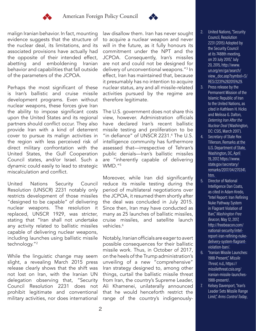



malign Iranian behavior. In fact, mounting evidence suggests that the structure of the nuclear deal, its limitations, and its associated provisions have actually had the opposite of their intended effect, abetting and emboldening Iranian behavior and capabilities that fall outside of the parameters of the JCPOA.

Perhaps the most significant of these is Iran's ballistic and cruise missile development programs. Even without nuclear weapons, these forces give Iran the ability to impose significant costs upon the United States and its regional partners should conflict occur. They also provide Iran with a kind of deterrent cover to pursue its malign activities in the region with less perceived risk of direct military confrontation with the United States, the Gulf Cooperation Council states, and/or Israel. Such a dynamic could easily to lead to strategic miscalculation and conflict.

United Nations Security Council Resolution (UNSCR) 2231 notably only restricts development of those missiles "designed to be capable" of delivering nuclear weapons. The resolution it replaced, UNSCR 1929, was stricter, stating that "Iran shall not undertake any activity related to ballistic missiles capable of delivering nuclear weapons, including launches using ballistic missile technology."2

While the linguistic change may seem slight, a revealing March 2015 press release clearly shows that the shift was not lost on Iran, with the Iranian UN delegation observing that, "Security Council Resolution 2231 does not prohibit legitimate and conventional military activities, nor does international

law disallow them. Iran has never sought to acquire a nuclear weapon and never will in the future, as it fully honours its commitment under the NPT and the JCPOA. Consequently, Iran's missiles are not and could not be designed for delivery of unconventional weapons."3 In effect, Iran has maintained that, because it presumably has no intention to acquire nuclear status, any and all missile-related activities pursued by the regime are therefore legitimate.

The U.S. government does not share this view, however. Administration officials have declared Iran's recent ballistic missile testing and proliferation to be "in defiance" of UNSCR 2231.<sup>4</sup> The U.S. intelligence community has furthermore assessed that—irrespective of Tehran's public denials—Iran's ballistic missiles are "inherently capable of delivering WMD."5

Moreover, while Iran did significantly reduce its missile testing during the period of multilateral negotiations over the JCPOA, it resumed them shortly after the deal was concluded in July 2015. Since then, Iran may have conducted as many as 25 launches of ballistic missiles, cruise missiles, and satellite launch vehicles.<sup>6</sup>

Notably, Iranian officials are eager to avert possible consequences for their ballistic missile work. Thus, in October of 2017, on the heels of the Trump administration's unveiling of a new "comprehensive" Iran strategy designed to, among other things, curtail the ballistic missile threat from Iran, the country's Supreme Leader, Ali Khamenei, unilaterally announced that he would henceforth restrict the range of the country's indigenously-

- 2. United Nations, "Security Council, Resolution 2231 (2015) Adopted by the Security Council at its 7488th meeting, on 20 July 2015," July 20, 2015, http://www. un.org/en/ga/search/ view\_doc.asp?symbol=S/ RES/2231%282015%29.
- 3. Press release by the Permanent Mission of the Islamic Republic of Iran to the United Nations, as cited in Kathleen H. Hicks and Melissa G. Dalton, *Deterring Iran After the Nuclear Deal* (Washington, DC: CSIS, March 2017).
- 4. Secretary of State Rex Tillerson, Remarks at the U.S. Department of State, Washington, DC, April 19, 2017, https://www. state.gov/secretary/ remarks/2017/04/270341. htm.
- 5. Director of National Intelligence Dan Coats, as cited in Adam Kredo, "Intel Report: Iran Refining Nuke Pathway System in Flagrant Violation of Ban," *Washington Free Beacon*, May 12, 2017, http://freebeacon.com/ national-security/intelreport-iran-refining-nukedelivery-system-flagrantviolation-ban/.
- 6. "Iranian Missile Launches: 1988-Present," *Missile Threat*, n.d., https:// missilethreat.csis.org/ iranian-missile-launches-1988-present/.
- 7. Kelsey Davenport, "Iran's Leader Sets Missile Range Limit," *Arms Control Today*,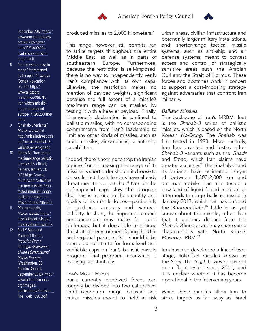



December 2017, https:// www.armscontrol.org/ act/2017-12/news/ iran%E2%80%99sleader-sets-missilerange-limit.

- 8. "Iran to widen missile range 'if threatened by Europe,'" *Al Jazeera* (Doha), November 26, 2017, http:// www.aljazeera. com/news/2017/11/ iran-widen-missilerange-threatenedeurope-171126123011158. html.
- 9. "Shahab-3 Variants," *Missile Threat*, n.d., http://missilethreat.csis. org/missile/shahab-3 variants-emad-ghadr.
- 10. Idrees Ali, "Iran tested medium-range ballistic missile: U.S. official," Reuters, January 30, 2017, https://www. reuters.com/article/ususa-iran-missiles/irantested-medium-rangeballistic-missile-u-sofficial-idUSKBN15E2EZ.
- 11. "Khorramshahr," *Missile Threat*, https:// missilethreat.csis.org/ missile/khorramshahr/.

12. Bilal Y. Saab and Michael Elleman, *Precision Fire: A Strategic Assessment of Iran's Conventional Missile Program* (Washington, DC: Atlantic Council, September 2016), http:// www.atlanticcouncil. org/images/ publications/Precision\_ Fire\_web\_0907.pdf.

produced missiles to 2,000 kilometers.7

This range, however, still permits Iran to strike targets throughout the entire Middle East, as well as in parts of southeastern Europe. Furthermore, because the restriction is self-imposed, there is no way to independently verify Iran's compliance with its own caps. Likewise, the restriction makes no mention of payload weights, significant because the full extent of a missile's maximum range can be masked by testing it with a heavier payload. Finally, Khamenei's declaration is confined to ballistic missiles, with no corresponding commitments from Iran's leadership to limit any other kinds of missiles, such as cruise missiles, air defenses, or anti-ship capabilities.

Indeed, there is nothing to stop the Iranian regime from increasing the range of its missiles is short order should it choose to do so. In fact, Iran's leaders have already threatened to do just that.8 Nor do the self-imposed caps slow the progress that Iran is making in the quantity and quality of its missile forces—particularly in guidance, accuracy and warhead lethality. In short, the Supreme Leader's announcement may make for good diplomacy, but it does little to change the strategic environment facing the U.S. and regional partners. Nor should it be seen as a substitute for formalized and verifiable caps on Iran's ballistic missile program. That program, meanwhile, is evolving substantially.

## Iran's Missile Forces

Iran's currently deployed forces can roughly be divided into two categories: short-to-medium range ballistic and cruise missiles meant to hold at risk

urban areas, civilian infrastructure and potentially larger military installations, and; shorter-range tactical missile systems, such as anti-ship and air defense systems, meant to contest access and control of strategically sensitive areas such the Arabian Gulf and the Strait of Hormuz. These forces and doctrines work in concert to support a cost-imposing strategy against adversaries that confront Iran militarily.

# *Ballistic Missiles*

The backbone of Iran's MRBM fleet is the *Shahab-3* series of ballistic missiles, which is based on the North Korean *No-Dong*. The *Shahab* was first tested in 1998. More recently, Iran has unveiled and tested other *Shahab-3* variants such as the *Ghadr* and *Emad*, which Iran claims have greater accuracy.9 The Shahab-3 and its variants have estimated ranges of between 1,300-2,000 km and are road-mobile. Iran also tested a new kind of liquid fueled medium or intermediate range ballistic missile in January 2017, which Iran has dubbed the *Khorramshahr*. 10 Little is as yet known about this missile, other than that it appears distinct from the *Shahab-3* lineage and may share some characteristics with North Korea's *Musudan* IRBM.11

Iran has also developed a line of twostage, solid-fuel missiles known as the *Sejjil*. The *Sejjil*, however, has not been flight-tested since 2011, and it is unclear whether it has become operational in the intervening years.

While these missiles allow Iran to strike targets as far away as Israel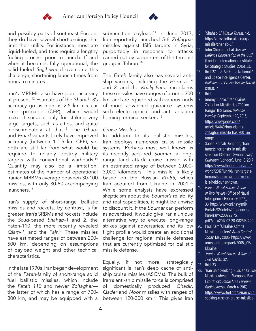



and possibly parts of southeast Europe, they do have several shortcomings that limit their utility. For instance, most are liquid-fueled, and thus require a lengthy fueling process prior to launch. If and when it becomes fully operational, the solid-fueled *Sejjil* would overcome this challenge, shortening launch times from hours to minutes.

Iran's MRBMs also have poor accuracy at present.12 Estimates of the *Shahab-3*'s accuracy go as high as 2.5 km circular error probable (CEP), which would make it suitable only for striking very large targets, such as cities, and quite indiscriminately at that.13 The *Ghadr* and *Emad* variants likely have improved accuracy (between 1-1.5 km CEP), yet both are still far from what would be required to reliably destroy military targets with conventional warheads.14 Quantity may also be a limitation. Estimates of the number of operational Iranian MRBMs average between 30-100 missiles, with only 30-50 accompanying launchers.<sup>15</sup>

Iran's supply of short-range ballistic missiles and rockets, by contrast, is far greater. Iran's SRBMs and rockets include the *Scud*-based *Shahab-1* and *2*, the Fateh-110, the more recently revealed *Qiam-1*, and the *Fajr*. 16 These missiles have estimated ranges of between 200- 500 km, depending on assumptions of payload weight and other technical characteristics.

In the late 1990s, Iran began development of the *Fateh*-family of short-range solid fuel ballistic missiles, which include the *Fateh 110* and newer *Zolfaghar* the latter of which has a range of 700- 800 km, and may be equipped with a

submunition payload.<sup>17</sup> In June 2017, Iran reportedly launched 5-6 *Zolfaghar* missiles against ISIS targets in Syria, purportedly in response to attacks carried out by supporters of the terrorist group in Tehran.<sup>18</sup>

The *Fateh* family also has several antiship variants, including the *Hormuz 1*  and *2*, and the *Khalij Fars*. Iran claims these missiles have ranges of around 300 km, and are equipped with various kinds of more advanced guidance systems such electro-optical and anti-radiation homing terminal seekers.19

# *Cruise Missiles*

In addition to its ballistic missiles, Iran deploys numerous cruise missile systems. Perhaps most well known is its recently acquired *Soumar*, a longrange land attack cruise missile with an estimated range of between 2,000- 3,000 kilometers. This missile is likely based on the Russian *Kh-55*, which Iran acquired from Ukraine in 2001.<sup>20</sup> While some analysts have expressed skepticism about the *Soumar's* reliability and real capabilities, it might be unwise to discount it. If the *Soumar* can perform as advertised, it would give Iran a unique alternative way to execute long-range strikes against adversaries, and its low flight profile would create an additional challenge for regional missile defenses that are currently optimized for ballistic missile defense.

Equally, if not more, strategically significant is Iran's deep cache of antiship cruise missiles (ASCMs). The bulk of Iran's anti-ship missile force is comprised of domestically produced *Ghadir*, *Qader* and *Noor* missiles with ranges of between 120-300 km.<sup>21</sup> This gives Iran

- 13. "Shahab 3," *Missile Threat*, n.d., https://missilethreat.csis.org/ missile/shahab-3/.
- 14. John Chipman et al, *Missile Defence Cooperation in the Gulf* (London: International Institute for Strategic Studies, 2016), 33. 15. Ibid, 27; U.S. Air Force National Air and Space Intelligence Center,

*Ballistic and Cruise Missile Threat* (2013), 14. 16. Ibid.

- 17. Jeremy Binnie, "Iran Claims Zolfaghar Missile Has 700 km Range," IHS Jane's *Defense Weekly*, September 28, 2016, http://www.janes.com/ article/64149/iran-claimszolfaghar-missile-has-700-kmrange.
- 18. Saeed Kamali Dehghan, "Iran targets 'terrorists' in missile strike on ISIS-held Syrian town," *Guardian* (London), June 18, 2017, https://www.theguardian.com/ world/2017/jun/18/iran-targetsterrorists-in-missile-strike-onisis-held-syrian-town.
- *19. Iranian Naval Forces: A Tale of Two Navies* (Office of Naval Intelligence, February 2017), 33, http://www.oni.navy.mil/ Portals/12/Intel%20agencies/ iran/Iran%20022217S. pdf?ver=2017-02-28-082613-220.
- 20. Paul Kerr, "Ukraine Admits Missile Transfers," *Arms Control Today*, May 2005, https://www. armscontrol.org/act/2005\_05/ Ukraine.
- 21. *Iranian Naval Forces: A Tale of Two Navies*, 32.
- 22. Ibid, 33.
- 23. "Iran Said Seeking Russian Cruise Missiles Ahead of Weapons Ban Expiration," *Radio Free Europe/ Radio Liberty*, March 4, 2017, https://www.rferl.org/a/iran-saidseeking-russian-cruise-missiles-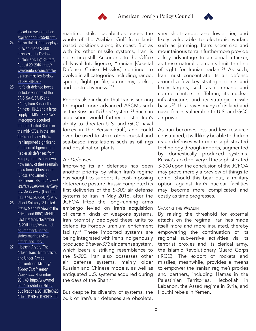



ahead-un-weapons-banexpiration/28349940.html.

- 24. Parisa Hafezi, "Iran deploys Russian-made S-300 missiles at its Fordow nuclear site: TV," Reuters, August 29, 2016, http:// www.reuters.com/article/ us-iran-missiles-fordowidUSKCN1140YD.
- 25. Iran's air defense forces includes variants of the SA-5, SA-6, SA-15 and SA-22, from Russia, the Chinese HQ-2, and a large supply of MIM-23B HAWK interceptors acquired from the United States in the mid-1970s. In the late 1960s and early 1970s, Iran imported significant numbers of Tigercat and Rapier air defenses from Europe, but it is unknown how many of these remain operational. Christopher F. Foss and James C. O'Halloran, IHS Jane's *Land Warfare Platforms: Artillery and Air Defense* (London: IHS Janes, 2016-2017), 939.
- 26. Sharif Sokkary, "A United States Marine's View of the Artesh and IRBC," Middle East Institute, November 15, 2011, http://www.mei. edu/content/unitedstates-marines-viewartesh-and-irgc.
- 27. Hossein Aryan, "The Artesh: Iran's Marginalized and Under-Armed Conventional Military," *Middle East Institute Viewpoints*, November 2011, 49, http://www.mei. edu/sites/default/files/ publications/2011.11.The%20 Artesh%20Full%20PDF.pdf.

maritime strike capabilities across the whole of the Arabian Gulf from landbased positions along its coast. But as with its other missile systems, Iran is not sitting still. According to the Office of Naval Intelligence, "Iranian [Coastal Defense Cruise Missiles] continue to evolve in all categories including, range, speed, flight profile, autonomy, seeker, and destructiveness."22

Reports also indicate that Iran is seeking to import more advanced ASCMs such as the Russian *Yakhont* system.<sup>23</sup> Such an acquisition would further bolster Iran's ability to threaten U.S. and GCC naval forces in the Persian Gulf, and could even be used to strike other coastal and sea-based installations such as oil rigs and desalination plants.

# *Air Defenses*

Improving its air defenses has been another priority by which Iran's regime has sought to support its cost-imposing deterrence posture. Russia completed its first deliveries of the *S-300* air defense systems to Iran in May 2016, after the JCPOA lifted the long-running arms embargo levied on Iran's acquisition of certain kinds of weapons systems. Iran promptly deployed these units to defend its Fordow uranium enrichment facility.<sup>24</sup> These imported systems are being integrated with Iran's indigenously produced *Bhavar-373* air defense system, which bears a striking resemblance to the *S-300*. Iran also possesses other air defense systems, mainly older Russian and Chinese models, as well as antiquated U.S. systems acquired during the days of the Shah.<sup>25</sup>

But despite its diversity of systems, the bulk of Iran's air defenses are obsolete,

very short-range, and lower tier, and likely vulnerable to electronic warfare such as jamming. Iran's sheer size and mountainous terrain furthermore provide a key advantage to an aerial attacker, as these natural elements limit the line of sight for Iranian radars.<sup>26</sup> As such, Iran must concentrate its air defense around a few key strategic points and likely targets, such as command and control centers in Tehran, its nuclear infrastructure, and its strategic missile bases.27 This leaves many of its land and naval forces vulnerable to U.S. and GCC air power.

As Iran becomes less and less resource constrained, it will likely be able to thicken its air defenses with more sophisticated technology through imports, augmented by domestically produced systems. Russia's rapid delivery of the sophisticated *S-300* upon the conclusion of the JCPOA may prove merely a preview of things to come. Should this bear out, a military option against Iran's nuclear facilities may become more complicated and costly as time progresses.

# **SHARING THE WEALTH**

By raising the threshold for external attacks on the regime, Iran has made itself more and more insulated, thereby empowering the continuation of its regional subversive activities via its terrorist proxies and its clerical army, the Islamic Revolutionary Guard Corps (IRGC). The export of rockets and missiles, meanwhile, provides a means to empower the Iranian regime's proxies and partners, including Hamas in the Palestinian Territories, Hezbollah in Lebanon, the Assad regime in Syria, and Houthi rebels in Yemen.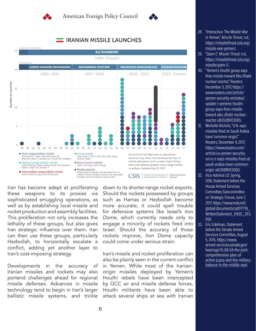



# **IRANIAN MISSILE LAUNCHES**



Iran has become adept at proliferating these weapons to its proxies via sophisticated smuggling operations, as well as by establishing local missile and rocket production and assembly facilities. This proliferation not only increases the lethality of these groups, but also gives Iran strategic influence over them. Iran can then use these groups, particularly Hezbollah, to horizontally escalate a conflict, adding yet another layer to Iran's cost-imposing strategy.

Developments in the accuracy of Iranian missiles and rockets may also portend challenges ahead for regional missile defenses. Advances in missile technology tend to begin in Iran's larger ballistic missile systems, and trickle

down to its shorter-range rocket exports. Should the rockets possessed by groups such as Hamas or Hezbollah become more accurate, it could spell trouble for defensive systems like Israel's *Iron Dome*, which currently needs only to engage a minority of rockets fired into Israel. Should the accuracy of those rockets improve, *Iron Dome* capacity could come under serious strain.

Iran's missile and rocket proliferation can also be plainly seen in the current conflict in Yemen. While most of the Iranianorigin missiles deployed by Yemen's Houthi rebels have been intercepted by GCC air and missile defense forces, Houthi militants have been able to attack several ships at sea with Iranian

- 28. "Interactive: The Missile War in Yemen," *Missile Threat*, n.d., https://missilethreat.csis.org/ missile-war-yemen/.
- 29. "Qiam-1," *Missile Threat*, n.d., https://missilethreat.csis.org/ missile/qiam-1/.
- 30. "Yemen's Houthi group says fires missile toward Abu Dhabi nuclear reactor," Reuters, December 3, 2017, https:// www.reuters.com/article/ yemen-security-emirates/ update-1-yemens-houthigroup-says-fires-missiletoward-abu-dhabi-nuclearreactor-idUSL8N1O3065.
- 31. Michelle Nichols, "U.N. says missiles fired at Saudi Arabia have 'common origin,'" Reuters, December 9, 2017, https://www.reuters.com/ article/us-yemen-securityun/u-n-says-missiles-fired-atsaudi-arabia-have-commonorigin-idUSKBN1E30QU.
- 32. Vice Admiral J.D. Syring. USN, Statement before the House Armed Services Committee Subcommittee on Strategic Forces, June 7, 2017, https://www.mda.mil/ global/documents/pdf/FY18\_ WrittenStatement\_HASC\_SFS. PDF.
- 33. Eric Edelman, Statement before the Senate Armed Services Committee, August 5, 2015, https://www. armed-services.senate.gov/ hearings/15-08-04-the-jointcomprehensive-plan-ofaction-jcpoa-and-the-militarybalance-in-the-middle-east.